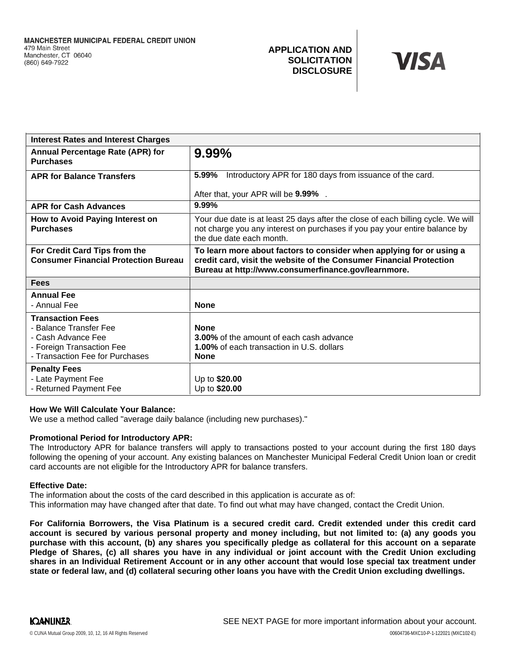# **APPLICATION AND SOLICITATION DISCLOSURE**



| <b>Interest Rates and Interest Charges</b>                                                                                              |                                                                                                                                                                                                    |
|-----------------------------------------------------------------------------------------------------------------------------------------|----------------------------------------------------------------------------------------------------------------------------------------------------------------------------------------------------|
| Annual Percentage Rate (APR) for<br><b>Purchases</b>                                                                                    | $9.99\%$                                                                                                                                                                                           |
| <b>APR for Balance Transfers</b>                                                                                                        | 5.99%<br>Introductory APR for 180 days from issuance of the card.                                                                                                                                  |
|                                                                                                                                         | After that, your APR will be 9.99%.                                                                                                                                                                |
| <b>APR for Cash Advances</b>                                                                                                            | $9.99\%$                                                                                                                                                                                           |
| How to Avoid Paying Interest on<br><b>Purchases</b>                                                                                     | Your due date is at least 25 days after the close of each billing cycle. We will<br>not charge you any interest on purchases if you pay your entire balance by<br>the due date each month.         |
| For Credit Card Tips from the<br><b>Consumer Financial Protection Bureau</b>                                                            | To learn more about factors to consider when applying for or using a<br>credit card, visit the website of the Consumer Financial Protection<br>Bureau at http://www.consumerfinance.gov/learnmore. |
| <b>Fees</b>                                                                                                                             |                                                                                                                                                                                                    |
| <b>Annual Fee</b>                                                                                                                       |                                                                                                                                                                                                    |
| - Annual Fee                                                                                                                            | <b>None</b>                                                                                                                                                                                        |
| <b>Transaction Fees</b><br>- Balance Transfer Fee<br>- Cash Advance Fee<br>- Foreign Transaction Fee<br>- Transaction Fee for Purchases | <b>None</b><br><b>3.00%</b> of the amount of each cash advance<br><b>1.00%</b> of each transaction in U.S. dollars<br><b>None</b>                                                                  |
| <b>Penalty Fees</b><br>- Late Payment Fee<br>- Returned Payment Fee                                                                     | Up to \$20.00<br>Up to \$20.00                                                                                                                                                                     |

## **How We Will Calculate Your Balance:**

We use a method called "average daily balance (including new purchases)."

### **Promotional Period for Introductory APR:**

The Introductory APR for balance transfers will apply to transactions posted to your account during the first 180 days following the opening of your account. Any existing balances on Manchester Municipal Federal Credit Union loan or credit card accounts are not eligible for the Introductory APR for balance transfers.

#### **Effective Date:**

The information about the costs of the card described in this application is accurate as of: This information may have changed after that date. To find out what may have changed, contact the Credit Union.

**For California Borrowers, the Visa Platinum is a secured credit card. Credit extended under this credit card account is secured by various personal property and money including, but not limited to: (a) any goods you purchase with this account, (b) any shares you specifically pledge as collateral for this account on a separate Pledge of Shares, (c) all shares you have in any individual or joint account with the Credit Union excluding shares in an Individual Retirement Account or in any other account that would lose special tax treatment under state or federal law, and (d) collateral securing other loans you have with the Credit Union excluding dwellings.**